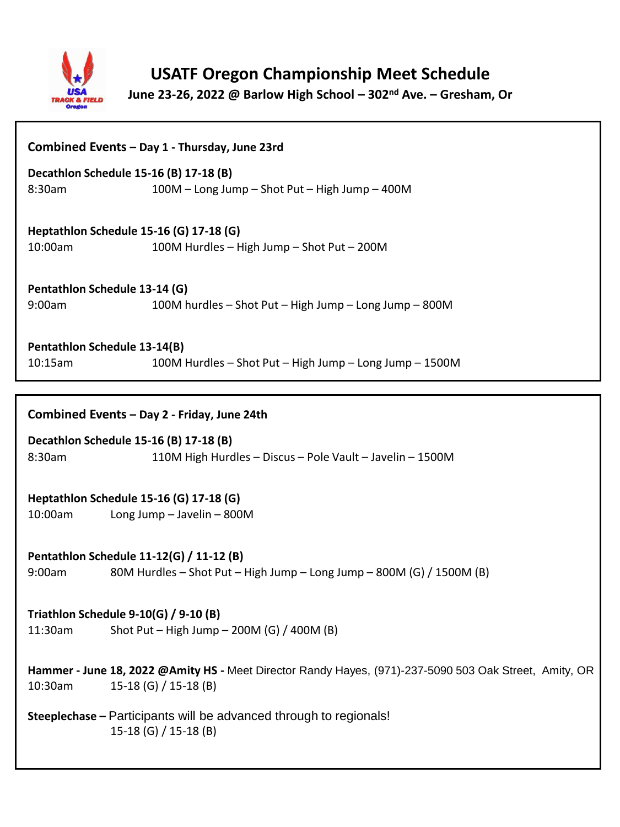

# **USATF Oregon Championship Meet Schedule**

**June 23-26, 2022 @ Barlow High School – 302nd Ave. – Gresham, Or**

| Combined Events - Day 1 - Thursday, June 23rd                                                                                              |                                                                                             |
|--------------------------------------------------------------------------------------------------------------------------------------------|---------------------------------------------------------------------------------------------|
| 8:30am                                                                                                                                     | Decathlon Schedule 15-16 (B) 17-18 (B)<br>100M - Long Jump - Shot Put - High Jump - 400M    |
|                                                                                                                                            |                                                                                             |
| 10:00am                                                                                                                                    | Heptathlon Schedule 15-16 (G) 17-18 (G)<br>100M Hurdles - High Jump - Shot Put - 200M       |
| Pentathlon Schedule 13-14 (G)                                                                                                              |                                                                                             |
| 9:00am                                                                                                                                     | 100M hurdles - Shot Put - High Jump - Long Jump - 800M                                      |
| Pentathlon Schedule 13-14(B)<br>10:15am                                                                                                    | 100M Hurdles - Shot Put - High Jump - Long Jump - 1500M                                     |
|                                                                                                                                            |                                                                                             |
| Combined Events - Day 2 - Friday, June 24th                                                                                                |                                                                                             |
| Decathlon Schedule 15-16 (B) 17-18 (B)                                                                                                     |                                                                                             |
| 8:30am                                                                                                                                     | 110M High Hurdles - Discus - Pole Vault - Javelin - 1500M                                   |
| Heptathlon Schedule 15-16 (G) 17-18 (G)                                                                                                    |                                                                                             |
| 10:00am                                                                                                                                    | Long Jump - Javelin - 800M                                                                  |
| Pentathlon Schedule 11-12(G) / 11-12 (B)                                                                                                   |                                                                                             |
| 9:00am                                                                                                                                     | 80M Hurdles - Shot Put - High Jump - Long Jump - 800M (G) / 1500M (B)                       |
| Triathlon Schedule 9-10(G) / 9-10 (B)                                                                                                      |                                                                                             |
| 11:30am                                                                                                                                    | Shot Put - High Jump - 200M (G) / 400M (B)                                                  |
| Hammer - June 18, 2022 @Amity HS - Meet Director Randy Hayes, (971)-237-5090 503 Oak Street, Amity, OR<br>15-18 (G) / 15-18 (B)<br>10:30am |                                                                                             |
|                                                                                                                                            | Steeplechase - Participants will be advanced through to regionals!<br>15-18 (G) / 15-18 (B) |
|                                                                                                                                            |                                                                                             |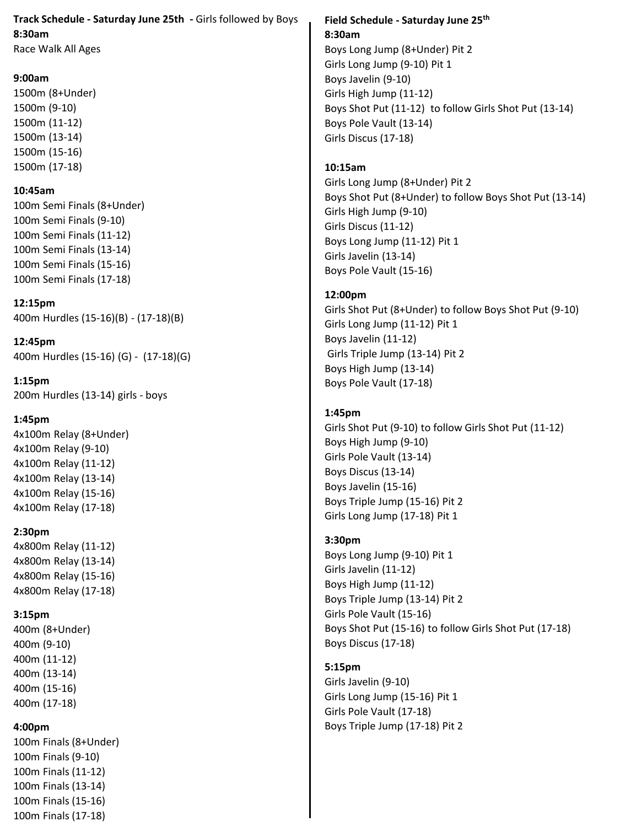## **Track Schedule - Saturday June 25th -** Girls followed by Boys **8:30am**

Race Walk All Ages

## **9:00am**

1500m (8+Under) 1500m (9-10) 1500m (11-12) 1500m (13-14) 1500m (15-16) 1500m (17-18)

## **10:45am**

100m Semi Finals (8+Under) 100m Semi Finals (9-10) 100m Semi Finals (11-12) 100m Semi Finals (13-14) 100m Semi Finals (15-16) 100m Semi Finals (17-18)

**12:15pm** 400m Hurdles (15-16)(B) - (17-18)(B)

**12:45pm** 400m Hurdles (15-16) (G) - (17-18)(G)

**1:15pm** 200m Hurdles (13-14) girls - boys

## **1:45pm**

4x100m Relay (8+Under) 4x100m Relay (9-10) 4x100m Relay (11-12) 4x100m Relay (13-14) 4x100m Relay (15-16) 4x100m Relay (17-18)

#### **2:30pm**

4x800m Relay (11-12) 4x800m Relay (13-14) 4x800m Relay (15-16) 4x800m Relay (17-18)

## **3:15pm**

400m (8+Under) 400m (9-10) 400m (11-12) 400m (13-14) 400m (15-16) 400m (17-18)

## **4:00pm**

100m Finals (8+Under) 100m Finals (9-10) 100m Finals (11-12) 100m Finals (13-14) 100m Finals (15-16) 100m Finals (17-18)

## **Field Schedule - Saturday June 25th 8:30am**

Boys Long Jump (8+Under) Pit 2 Girls Long Jump (9-10) Pit 1 Boys Javelin (9-10) Girls High Jump (11-12) Boys Shot Put (11-12) to follow Girls Shot Put (13-14) Boys Pole Vault (13-14) Girls Discus (17-18)

## **10:15am**

Girls Long Jump (8+Under) Pit 2 Boys Shot Put (8+Under) to follow Boys Shot Put (13-14) Girls High Jump (9-10) Girls Discus (11-12) Boys Long Jump (11-12) Pit 1 Girls Javelin (13-14) Boys Pole Vault (15-16)

## **12:00pm**

Girls Shot Put (8+Under) to follow Boys Shot Put (9-10) Girls Long Jump (11-12) Pit 1 Boys Javelin (11-12) Girls Triple Jump (13-14) Pit 2 Boys High Jump (13-14) Boys Pole Vault (17-18)

## **1:45pm**

Girls Shot Put (9-10) to follow Girls Shot Put (11-12) Boys High Jump (9-10) Girls Pole Vault (13-14) Boys Discus (13-14) Boys Javelin (15-16) Boys Triple Jump (15-16) Pit 2 Girls Long Jump (17-18) Pit 1

## **3:30pm**

Boys Long Jump (9-10) Pit 1 Girls Javelin (11-12) Boys High Jump (11-12) Boys Triple Jump (13-14) Pit 2 Girls Pole Vault (15-16) Boys Shot Put (15-16) to follow Girls Shot Put (17-18) Boys Discus (17-18)

## **5:15pm**

Girls Javelin (9-10) Girls Long Jump (15-16) Pit 1 Girls Pole Vault (17-18) Boys Triple Jump (17-18) Pit 2